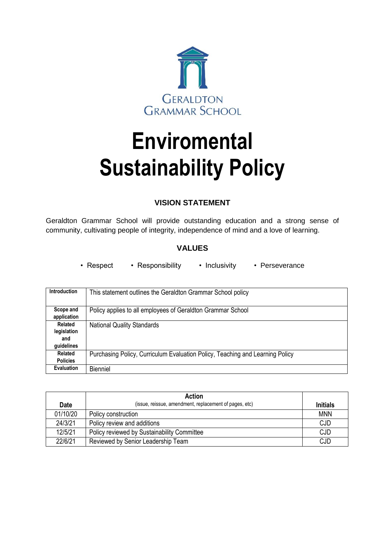

# **Enviromental Sustainability Policy**

# **VISION STATEMENT**

Geraldton Grammar School will provide outstanding education and a strong sense of community, cultivating people of integrity, independence of mind and a love of learning.

## **VALUES**

• Respect • Responsibility • Inclusivity • Perseverance

| <b>Introduction</b>                         | This statement outlines the Geraldton Grammar School policy                   |
|---------------------------------------------|-------------------------------------------------------------------------------|
| Scope and<br>application                    | Policy applies to all employees of Geraldton Grammar School                   |
| Related<br>legislation<br>and<br>guidelines | <b>National Quality Standards</b>                                             |
| Related<br><b>Policies</b>                  | Purchasing Policy, Curriculum Evaluation Policy, Teaching and Learning Policy |
| <b>Evaluation</b>                           | <b>Bienniel</b>                                                               |

|             | <b>Action</b>                                          |                 |
|-------------|--------------------------------------------------------|-----------------|
| <b>Date</b> | (issue, reissue, amendment, replacement of pages, etc) | <b>Initials</b> |
| 01/10/20    | Policy construction                                    | <b>MNN</b>      |
| 24/3/21     | Policy review and additions                            | <b>CJD</b>      |
| 12/5/21     | Policy reviewed by Sustainability Committee            | <b>CJD</b>      |
| 22/6/21     | Reviewed by Senior Leadership Team                     | <b>CJD</b>      |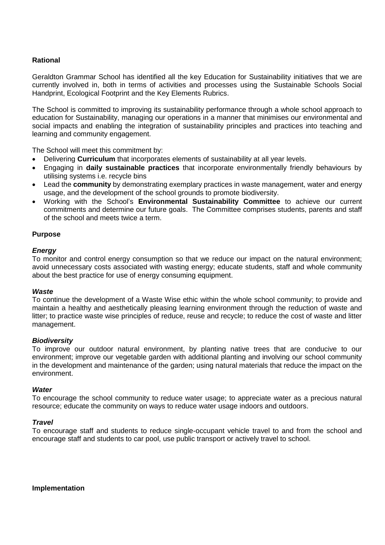## **Rational**

Geraldton Grammar School has identified all the key Education for Sustainability initiatives that we are currently involved in, both in terms of activities and processes using the Sustainable Schools Social Handprint, Ecological Footprint and the Key Elements Rubrics.

The School is committed to improving its sustainability performance through a whole school approach to education for Sustainability, managing our operations in a manner that minimises our environmental and social impacts and enabling the integration of sustainability principles and practices into teaching and learning and community engagement.

The School will meet this commitment by:

- Delivering **Curriculum** that incorporates elements of sustainability at all year levels.
- Engaging in **daily sustainable practices** that incorporate environmentally friendly behaviours by utilising systems i.e. recycle bins
- Lead the **community** by demonstrating exemplary practices in waste management, water and energy usage, and the development of the school grounds to promote biodiversity.
- Working with the School's **Environmental Sustainability Committee** to achieve our current commitments and determine our future goals. The Committee comprises students, parents and staff of the school and meets twice a term.

#### **Purpose**

#### *Energy*

To monitor and control energy consumption so that we reduce our impact on the natural environment; avoid unnecessary costs associated with wasting energy; educate students, staff and whole community about the best practice for use of energy consuming equipment.

#### *Waste*

To continue the development of a Waste Wise ethic within the whole school community; to provide and maintain a healthy and aesthetically pleasing learning environment through the reduction of waste and litter; to practice waste wise principles of reduce, reuse and recycle; to reduce the cost of waste and litter management.

#### *Biodiversity*

To improve our outdoor natural environment, by planting native trees that are conducive to our environment; improve our vegetable garden with additional planting and involving our school community in the development and maintenance of the garden; using natural materials that reduce the impact on the environment.

#### *Water*

To encourage the school community to reduce water usage; to appreciate water as a precious natural resource; educate the community on ways to reduce water usage indoors and outdoors.

#### *Travel*

To encourage staff and students to reduce single-occupant vehicle travel to and from the school and encourage staff and students to car pool, use public transport or actively travel to school.

**Implementation**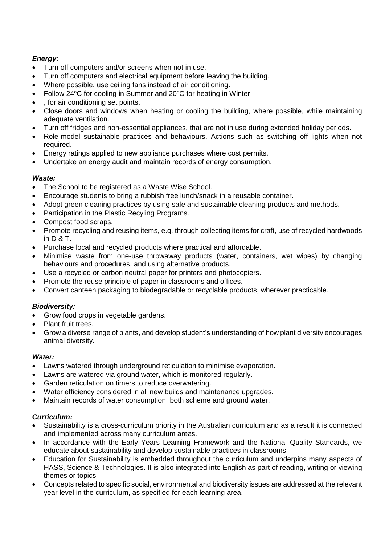## *Energy:*

- Turn off computers and/or screens when not in use.
- Turn off computers and electrical equipment before leaving the building.
- Where possible, use ceiling fans instead of air conditioning.
- Follow 24°C for cooling in Summer and 20°C for heating in Winter
- , for air conditioning set points.
- Close doors and windows when heating or cooling the building, where possible, while maintaining adequate ventilation.
- Turn off fridges and non-essential appliances, that are not in use during extended holiday periods.
- Role-model sustainable practices and behaviours. Actions such as switching off lights when not required.
- Energy ratings applied to new appliance purchases where cost permits.
- Undertake an energy audit and maintain records of energy consumption.

## *Waste:*

- The School to be registered as a Waste Wise School.
- Encourage students to bring a rubbish free lunch/snack in a reusable container.
- Adopt green cleaning practices by using safe and sustainable cleaning products and methods.
- Participation in the Plastic Recyling Programs.
- Compost food scraps.
- Promote recycling and reusing items, e.g. through collecting items for craft, use of recycled hardwoods in D & T.
- Purchase local and recycled products where practical and affordable.
- Minimise waste from one-use throwaway products (water, containers, wet wipes) by changing behaviours and procedures, and using alternative products.
- Use a recycled or carbon neutral paper for printers and photocopiers.
- Promote the reuse principle of paper in classrooms and offices.
- Convert canteen packaging to biodegradable or recyclable products, wherever practicable.

## *Biodiversity:*

- Grow food crops in vegetable gardens.
- Plant fruit trees.
- Grow a diverse range of plants, and develop student's understanding of how plant diversity encourages animal diversity.

## *Water:*

- Lawns watered through underground reticulation to minimise evaporation.
- Lawns are watered via ground water, which is monitored regularly.
- Garden reticulation on timers to reduce overwatering.
- Water efficiency considered in all new builds and maintenance upgrades.
- Maintain records of water consumption, both scheme and ground water.

## *Curriculum:*

- Sustainability is a cross-curriculum priority in the Australian curriculum and as a result it is connected and implemented across many curriculum areas.
- In accordance with the Early Years Learning Framework and the National Quality Standards, we educate about sustainability and develop sustainable practices in classrooms
- Education for Sustainability is embedded throughout the curriculum and underpins many aspects of HASS, Science & Technologies. It is also integrated into English as part of reading, writing or viewing themes or topics.
- Concepts related to specific social, environmental and biodiversity issues are addressed at the relevant year level in the curriculum, as specified for each learning area.